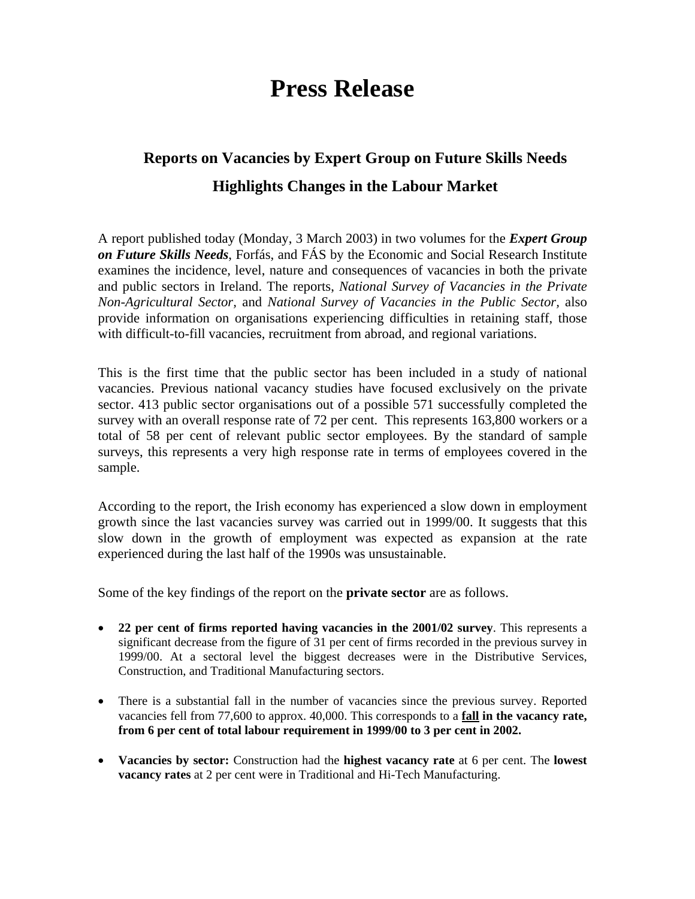## **Press Release**

## **Reports on Vacancies by Expert Group on Future Skills Needs Highlights Changes in the Labour Market**

A report published today (Monday, 3 March 2003) in two volumes for the *Expert Group on Future Skills Needs*, Forfás, and FÁS by the Economic and Social Research Institute examines the incidence, level, nature and consequences of vacancies in both the private and public sectors in Ireland. The reports, *National Survey of Vacancies in the Private Non-Agricultural Sector,* and *National Survey of Vacancies in the Public Sector,* also provide information on organisations experiencing difficulties in retaining staff, those with difficult-to-fill vacancies, recruitment from abroad, and regional variations.

This is the first time that the public sector has been included in a study of national vacancies. Previous national vacancy studies have focused exclusively on the private sector. 413 public sector organisations out of a possible 571 successfully completed the survey with an overall response rate of 72 per cent. This represents 163,800 workers or a total of 58 per cent of relevant public sector employees. By the standard of sample surveys, this represents a very high response rate in terms of employees covered in the sample.

According to the report, the Irish economy has experienced a slow down in employment growth since the last vacancies survey was carried out in 1999/00. It suggests that this slow down in the growth of employment was expected as expansion at the rate experienced during the last half of the 1990s was unsustainable.

Some of the key findings of the report on the **private sector** are as follows.

- **22 per cent of firms reported having vacancies in the 2001/02 survey**. This represents a significant decrease from the figure of 31 per cent of firms recorded in the previous survey in 1999/00. At a sectoral level the biggest decreases were in the Distributive Services, Construction, and Traditional Manufacturing sectors.
- There is a substantial fall in the number of vacancies since the previous survey. Reported vacancies fell from 77,600 to approx. 40,000. This corresponds to a **fall in the vacancy rate, from 6 per cent of total labour requirement in 1999/00 to 3 per cent in 2002.**
- **Vacancies by sector:** Construction had the **highest vacancy rate** at 6 per cent. The **lowest vacancy rates** at 2 per cent were in Traditional and Hi-Tech Manufacturing.